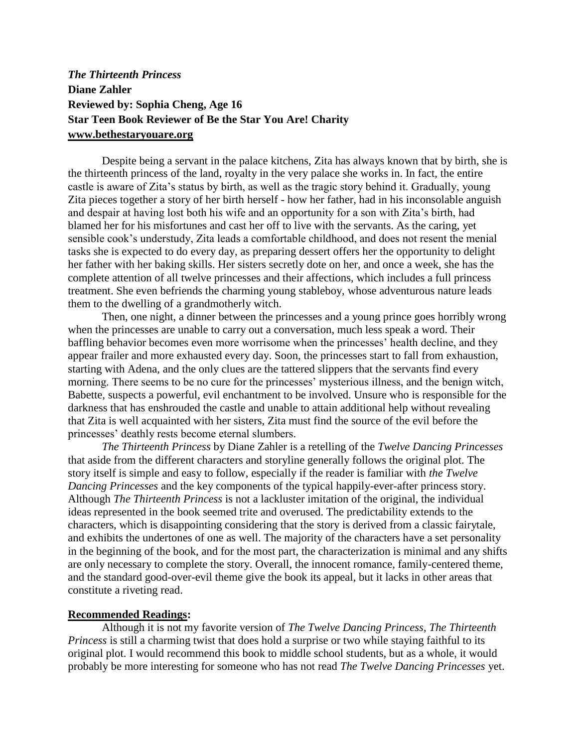## *The Thirteenth Princess* **Diane Zahler Reviewed by: Sophia Cheng, Age 16 Star Teen Book Reviewer of Be the Star You Are! Charity www.bethestaryouare.org**

Despite being a servant in the palace kitchens, Zita has always known that by birth, she is the thirteenth princess of the land, royalty in the very palace she works in. In fact, the entire castle is aware of Zita's status by birth, as well as the tragic story behind it. Gradually, young Zita pieces together a story of her birth herself - how her father, had in his inconsolable anguish and despair at having lost both his wife and an opportunity for a son with Zita's birth, had blamed her for his misfortunes and cast her off to live with the servants. As the caring, yet sensible cook's understudy, Zita leads a comfortable childhood, and does not resent the menial tasks she is expected to do every day, as preparing dessert offers her the opportunity to delight her father with her baking skills. Her sisters secretly dote on her, and once a week, she has the complete attention of all twelve princesses and their affections, which includes a full princess treatment. She even befriends the charming young stableboy, whose adventurous nature leads them to the dwelling of a grandmotherly witch.

Then, one night, a dinner between the princesses and a young prince goes horribly wrong when the princesses are unable to carry out a conversation, much less speak a word. Their baffling behavior becomes even more worrisome when the princesses' health decline, and they appear frailer and more exhausted every day. Soon, the princesses start to fall from exhaustion, starting with Adena, and the only clues are the tattered slippers that the servants find every morning. There seems to be no cure for the princesses' mysterious illness, and the benign witch, Babette, suspects a powerful, evil enchantment to be involved. Unsure who is responsible for the darkness that has enshrouded the castle and unable to attain additional help without revealing that Zita is well acquainted with her sisters, Zita must find the source of the evil before the princesses' deathly rests become eternal slumbers.

*The Thirteenth Princess* by Diane Zahler is a retelling of the *Twelve Dancing Princesses* that aside from the different characters and storyline generally follows the original plot. The story itself is simple and easy to follow, especially if the reader is familiar with *the Twelve Dancing Princesses* and the key components of the typical happily-ever-after princess story. Although *The Thirteenth Princess* is not a lackluster imitation of the original, the individual ideas represented in the book seemed trite and overused. The predictability extends to the characters, which is disappointing considering that the story is derived from a classic fairytale, and exhibits the undertones of one as well. The majority of the characters have a set personality in the beginning of the book, and for the most part, the characterization is minimal and any shifts are only necessary to complete the story. Overall, the innocent romance, family-centered theme, and the standard good-over-evil theme give the book its appeal, but it lacks in other areas that constitute a riveting read.

## **Recommended Readings:**

Although it is not my favorite version of *The Twelve Dancing Princess*, *The Thirteenth Princess* is still a charming twist that does hold a surprise or two while staying faithful to its original plot. I would recommend this book to middle school students, but as a whole, it would probably be more interesting for someone who has not read *The Twelve Dancing Princesses* yet.